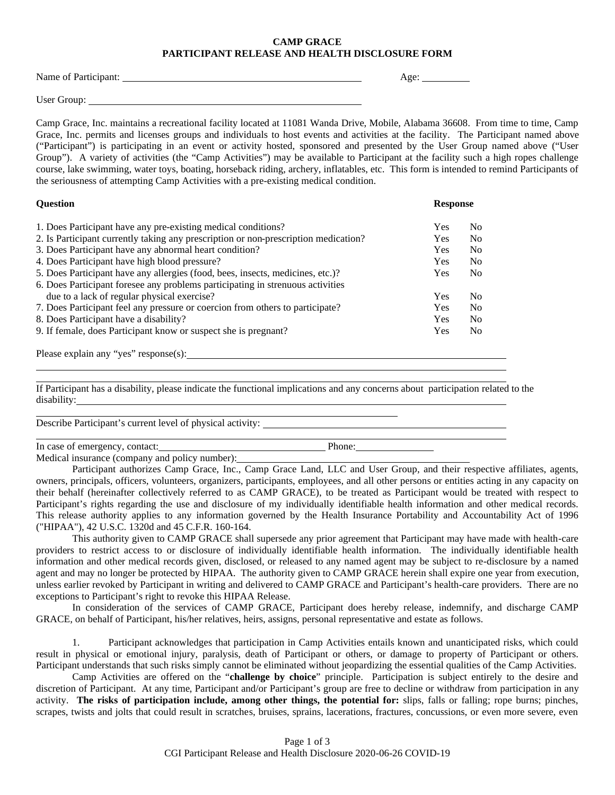## **CAMP GRACE PARTICIPANT RELEASE AND HEALTH DISCLOSURE FORM**

| Name of Participant: | Age: |
|----------------------|------|
|                      |      |
| User Group:          |      |

Camp Grace, Inc. maintains a recreational facility located at 11081 Wanda Drive, Mobile, Alabama 36608. From time to time, Camp Grace, Inc. permits and licenses groups and individuals to host events and activities at the facility. The Participant named above ("Participant") is participating in an event or activity hosted, sponsored and presented by the User Group named above ("User Group"). A variety of activities (the "Camp Activities") may be available to Participant at the facility such a high ropes challenge course, lake swimming, water toys, boating, horseback riding, archery, inflatables, etc. This form is intended to remind Participants of the seriousness of attempting Camp Activities with a pre-existing medical condition.

| <b>Question</b>                                                                     |     | <b>Response</b> |  |
|-------------------------------------------------------------------------------------|-----|-----------------|--|
| 1. Does Participant have any pre-existing medical conditions?                       | Yes | N <sub>0</sub>  |  |
| 2. Is Participant currently taking any prescription or non-prescription medication? | Yes | N <sub>0</sub>  |  |
| 3. Does Participant have any abnormal heart condition?                              | Yes | N <sub>0</sub>  |  |
| 4. Does Participant have high blood pressure?                                       | Yes | N <sub>0</sub>  |  |
| 5. Does Participant have any allergies (food, bees, insects, medicines, etc.)?      | Yes | N <sub>0</sub>  |  |
| 6. Does Participant foresee any problems participating in strenuous activities      |     |                 |  |
| due to a lack of regular physical exercise?                                         | Yes | N <sub>0</sub>  |  |
| 7. Does Participant feel any pressure or coercion from others to participate?       | Yes | N <sub>0</sub>  |  |
| 8. Does Participant have a disability?                                              | Yes | N <sub>0</sub>  |  |
| 9. If female, does Participant know or suspect she is pregnant?                     | Yes | N <sub>0</sub>  |  |
|                                                                                     |     |                 |  |

Please explain any "yes" response(s):

If Participant has a disability, please indicate the functional implications and any concerns about participation related to the disability:

Describe Participant's current level of physical activity:

In case of emergency, contact: Phone: Phone:

Medical insurance (company and policy number):

Participant authorizes Camp Grace, Inc., Camp Grace Land, LLC and User Group, and their respective affiliates, agents, owners, principals, officers, volunteers, organizers, participants, employees, and all other persons or entities acting in any capacity on their behalf (hereinafter collectively referred to as CAMP GRACE), to be treated as Participant would be treated with respect to Participant's rights regarding the use and disclosure of my individually identifiable health information and other medical records. This release authority applies to any information governed by the Health Insurance Portability and Accountability Act of 1996 ("HIPAA"), 42 U.S.C. 1320d and 45 C.F.R. 160-164.

This authority given to CAMP GRACE shall supersede any prior agreement that Participant may have made with health-care providers to restrict access to or disclosure of individually identifiable health information. The individually identifiable health information and other medical records given, disclosed, or released to any named agent may be subject to re-disclosure by a named agent and may no longer be protected by HIPAA. The authority given to CAMP GRACE herein shall expire one year from execution, unless earlier revoked by Participant in writing and delivered to CAMP GRACE and Participant's health-care providers. There are no exceptions to Participant's right to revoke this HIPAA Release.

In consideration of the services of CAMP GRACE, Participant does hereby release, indemnify, and discharge CAMP GRACE, on behalf of Participant, his/her relatives, heirs, assigns, personal representative and estate as follows.

1. Participant acknowledges that participation in Camp Activities entails known and unanticipated risks, which could result in physical or emotional injury, paralysis, death of Participant or others, or damage to property of Participant or others. Participant understands that such risks simply cannot be eliminated without jeopardizing the essential qualities of the Camp Activities.

Camp Activities are offered on the "**challenge by choice**" principle. Participation is subject entirely to the desire and discretion of Participant. At any time, Participant and/or Participant's group are free to decline or withdraw from participation in any activity. **The risks of participation include, among other things, the potential for:** slips, falls or falling; rope burns; pinches, scrapes, twists and jolts that could result in scratches, bruises, sprains, lacerations, fractures, concussions, or even more severe, even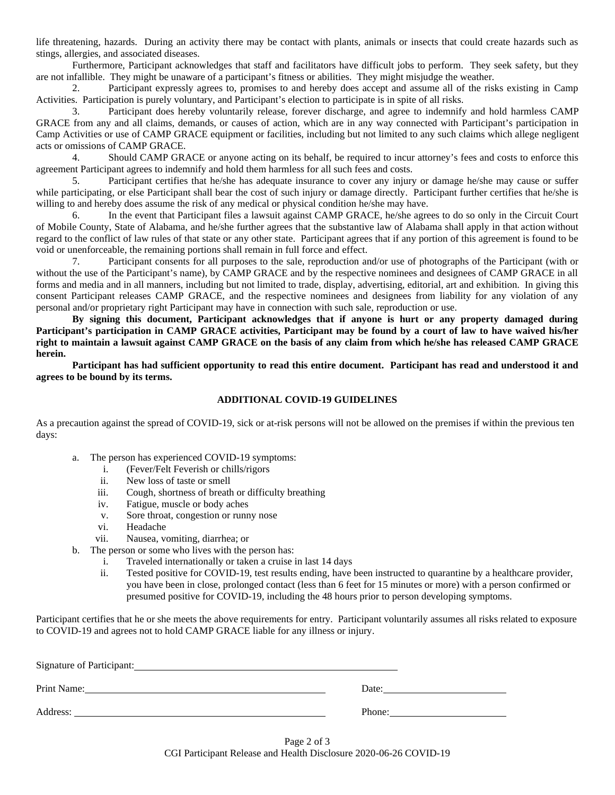life threatening, hazards. During an activity there may be contact with plants, animals or insects that could create hazards such as stings, allergies, and associated diseases.

Furthermore, Participant acknowledges that staff and facilitators have difficult jobs to perform. They seek safety, but they are not infallible. They might be unaware of a participant's fitness or abilities. They might misjudge the weather.

2. Participant expressly agrees to, promises to and hereby does accept and assume all of the risks existing in Camp Activities. Participation is purely voluntary, and Participant's election to participate is in spite of all risks.

3. Participant does hereby voluntarily release, forever discharge, and agree to indemnify and hold harmless CAMP GRACE from any and all claims, demands, or causes of action, which are in any way connected with Participant's participation in Camp Activities or use of CAMP GRACE equipment or facilities, including but not limited to any such claims which allege negligent acts or omissions of CAMP GRACE.

4. Should CAMP GRACE or anyone acting on its behalf, be required to incur attorney's fees and costs to enforce this agreement Participant agrees to indemnify and hold them harmless for all such fees and costs.

5. Participant certifies that he/she has adequate insurance to cover any injury or damage he/she may cause or suffer while participating, or else Participant shall bear the cost of such injury or damage directly. Participant further certifies that he/she is willing to and hereby does assume the risk of any medical or physical condition he/she may have.

6. In the event that Participant files a lawsuit against CAMP GRACE, he/she agrees to do so only in the Circuit Court of Mobile County, State of Alabama, and he/she further agrees that the substantive law of Alabama shall apply in that action without regard to the conflict of law rules of that state or any other state. Participant agrees that if any portion of this agreement is found to be void or unenforceable, the remaining portions shall remain in full force and effect.

7. Participant consents for all purposes to the sale, reproduction and/or use of photographs of the Participant (with or without the use of the Participant's name), by CAMP GRACE and by the respective nominees and designees of CAMP GRACE in all forms and media and in all manners, including but not limited to trade, display, advertising, editorial, art and exhibition. In giving this consent Participant releases CAMP GRACE, and the respective nominees and designees from liability for any violation of any personal and/or proprietary right Participant may have in connection with such sale, reproduction or use.

**By signing this document, Participant acknowledges that if anyone is hurt or any property damaged during Participant's participation in CAMP GRACE activities, Participant may be found by a court of law to have waived his/her right to maintain a lawsuit against CAMP GRACE on the basis of any claim from which he/she has released CAMP GRACE herein.**

**Participant has had sufficient opportunity to read this entire document. Participant has read and understood it and agrees to be bound by its terms.**

## **ADDITIONAL COVID-19 GUIDELINES**

As a precaution against the spread of COVID-19, sick or at-risk persons will not be allowed on the premises if within the previous ten days:

- a. The person has experienced COVID-19 symptoms:
	- i. (Fever/Felt Feverish or chills/rigors
	- ii. New loss of taste or smell
	- iii. Cough, shortness of breath or difficulty breathing
	- iv. Fatigue, muscle or body aches
	- v. Sore throat, congestion or runny nose
	- vi. Headache
	- vii. Nausea, vomiting, diarrhea; or
- b. The person or some who lives with the person has:
	- i. Traveled internationally or taken a cruise in last 14 days
	- ii. Tested positive for COVID-19, test results ending, have been instructed to quarantine by a healthcare provider, you have been in close, prolonged contact (less than 6 feet for 15 minutes or more) with a person confirmed or presumed positive for COVID-19, including the 48 hours prior to person developing symptoms.

Participant certifies that he or she meets the above requirements for entry. Participant voluntarily assumes all risks related to exposure to COVID-19 and agrees not to hold CAMP GRACE liable for any illness or injury.

| Signature of Participant: |        |
|---------------------------|--------|
| Print Name:               | Date:  |
| Address:                  | Phone: |

Page 2 of 3 CGI Participant Release and Health Disclosure 2020-06-26 COVID-19